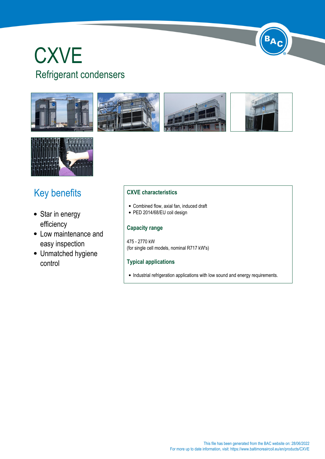# **CXVE** Refrigerant condensers









 $B_{\mathbf{A}}$ 



## Key benefits

- Star in energy efficiency
- Low maintenance and easy inspection
- Unmatched hygiene control

#### **CXVE characteristics**

- Combined flow, axial fan, induced draft
- PED 2014/68/EU coil design

#### **Capacity range**

475 - 2770 kW (for single cell models, nominal R717 kW's)

#### **Typical applications**

• Industrial refrigeration applications with low sound and energy requirements.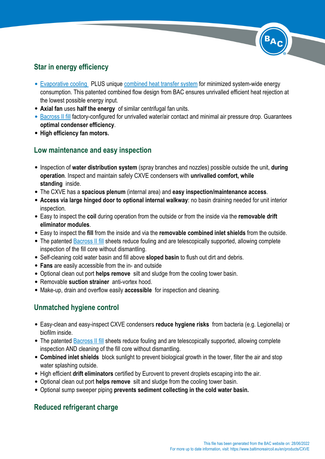### **Star in energy efficiency**

- [Evaporative cooling](https://www.baltimoreaircoil.eu//en/node/1396) PLUS unique [combined heat transfer system](https://www.baltimoreaircoil.eu//en/node/1902) for minimized system-wide energy consumption. This patented combined flow design from BAC ensures unrivalled efficient heat rejection at the lowest possible energy input.
- **Axial fan** uses **half the energy** of similar centrifugal fan units.
- [Bacross II fill](https://www.baltimoreaircoil.eu//en/node/2421) factory-configured for unrivalled water/air contact and minimal air pressure drop. Guarantees **optimal condenser efficiency**.
- **High efficiency fan motors.**

## **Low maintenance and easy inspection**

- Inspection of **water distribution system** (spray branches and nozzles) possible outside the unit, **during operation**. Inspect and maintain safely CXVE condensers with **unrivalled comfort, while standing** inside.
- The CXVE has a **spacious plenum** (internal area) and **easy inspection/maintenance access**.
- **Access via large hinged door to optional internal walkway**: no basin draining needed for unit interior inspection.
- Easy to inspect the **coil** during operation from the outside or from the inside via the **removable drift eliminator modules**.
- Easy to inspect the **fill** from the inside and via the **removable combined inlet shields** from the outside.
- The patented **Bacross II fill** sheets reduce fouling and are telescopically supported, allowing complete inspection of the fill core without dismantling.
- Self-cleaning cold water basin and fill above **sloped basin** to flush out dirt and debris.
- **Fans** are easily accessible from the in- and outside
- Optional clean out port **helps remove** silt and sludge from the cooling tower basin.
- Removable **suction strainer** anti-vortex hood.
- Make-up, drain and overflow easily **accessible** for inspection and cleaning.

## **Unmatched hygiene control**

- Easy-clean and easy-inspect CXVE condensers **reduce hygiene risks** from bacteria (e.g. Legionella) or biofilm inside.
- The patented [Bacross II fill](en/node/2421) sheets reduce fouling and are telescopically supported, allowing complete inspection AND cleaning of the fill core without dismantling.
- **Combined inlet shields** block sunlight to prevent biological growth in the tower, filter the air and stop water splashing outside.
- High efficient **drift eliminators** certified by Eurovent to prevent droplets escaping into the air.
- Optional clean out port **helps remove** silt and sludge from the cooling tower basin.
- Optional sump sweeper piping **prevents sediment collecting in the cold water basin.**

## **Reduced refrigerant charge**